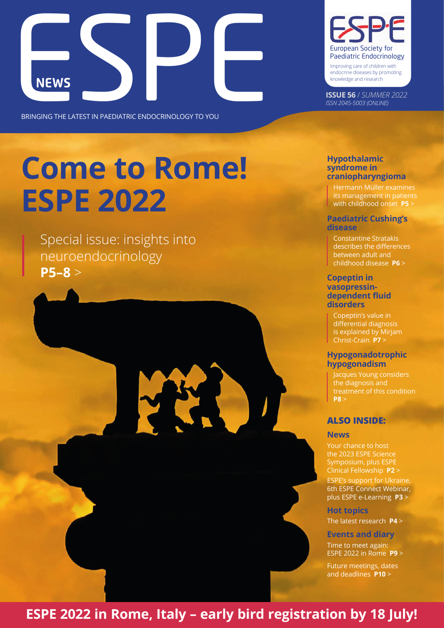

BRINGING THE LATEST IN PAEDIATRIC ENDOCRINOLOGY TO YOU

# **Come to Rome! ESPE 2022**

[Special issue: insights into](#page-4-0) [neuroendocrinology](#page-4-0) **[P5–8](#page-4-0)** >



Improving care of children with endocrine diseases by promoting knowledge and research

**ISSUE 56** / *SUMMER 2022 ISSN 2045-5003 (ONLINE)*

## **[Hypothalamic](#page-4-0)  [syndrome in](#page-4-0)  [craniopharyngioma](#page-4-0)**

[its management in patients](#page-4-0)  [with childhood onset](#page-4-0) **P5** >

### **[Paediatric Cushing's](#page-5-0)  [disease](#page-5-0)**

[Constantine Stratakis](#page-5-0)  [describes the differences](#page-5-0)  [between adult and](#page-5-0)  [childhood disease](#page-5-0) **P6** >

#### **[Copeptin in](#page-6-0)  [vasopressin](#page-6-0)[dependent fluid](#page-6-0)  [disorders](#page-6-0)**

[Copeptin's value in](#page-6-0)  [differential diagnosis](#page-6-0)  [is explained by Mirjam](#page-6-0)  [Christ-Crain](#page-6-0) **P7** >

## **[Hypogonadotrophic](#page-7-0)  [hypogonadism](#page-7-0)**

[Jacques Young considers](#page-7-0)  [the diagnosis and](#page-7-0)  [treatment of this condition](#page-7-0)  **[P8](#page-7-0)** >

## **ALSO INSIDE:**

#### **News**

[Your chance to host](#page-1-0)  [the 2023 ESPE Science](#page-1-0)  [Symposium, plus ESPE](#page-1-0)  [Clinical Fellowship](#page-1-0) **P2** >

[ESPE's support for Ukraine,](#page-2-0)  [6th ESPE Connect Webinar,](#page-2-0)  [plus ESPE e-Learning](#page-2-0) **P3** >

**[Hot topics](#page-3-0)**

[The latest research](#page-3-0) **P4** >

**Events and diary** [Time to meet again:](#page-8-0)  [ESPE 2022 in Rome](#page-8-0) **P9** >

[Future meetings, dates](#page-8-0)  [and deadlines](#page-8-0) **P10** >

# **[ESPE 2022 in Rome, Italy – early bird registration by 18 July!](#page-8-0)**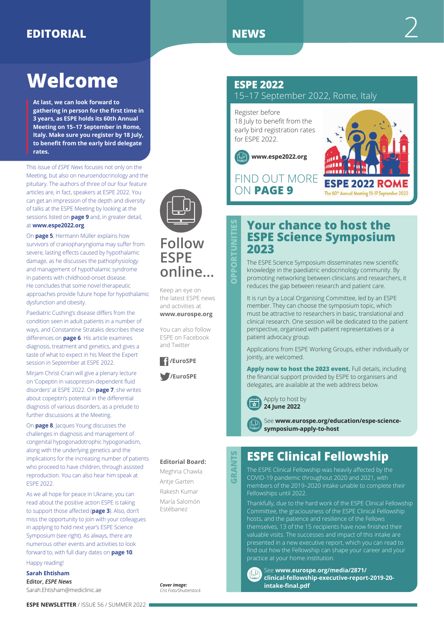# <span id="page-1-0"></span>**EDITORIAL** 2

# **Welcome**

**At last, we can look forward to gathering in person for the first time in 3 years, as ESPE holds its 60th Annual Meeting on 15–17 September in Rome, Italy. Make sure you register by 18 July, to benefit from the early bird delegate rates.**

This issue of *ESPE News* focuses not only on the Meeting, but also on neuroendocrinology and the pituitary. The authors of three of our four feature articles are, in fact, speakers at ESPE 2022. You can get an impression of the depth and diversity of talks at the ESPE Meeting by looking at the sessions listed on **[page 9](#page-8-0)** and, in greater detail, at **[www.espe2022.org](http://www.espe2022.org)**.

On **[page 5](#page-4-0)**, Hermann Müller explains how survivors of craniopharyngioma may suffer from severe, lasting effects caused by hypothalamic damage, as he discusses the pathophysiology and management of hypothalamic syndrome in patients with childhood-onset disease. He concludes that some novel therapeutic approaches provide future hope for hypothalamic dysfunction and obesity.

Paediatric Cushing's disease differs from the condition seen in adult patients in a number of ways, and Constantine Stratakis describes these differences on **[page 6](#page-5-0)**. His article examines diagnosis, treatment and genetics, and gives a taste of what to expect in his Meet the Expert session in September at ESPE 2022.

Mirjam Christ-Crain will give a plenary lecture on 'Copeptin in vasopressin-dependent fluid disorders' at ESPE 2022. On **[page 7](#page-6-0)**, she writes about copeptin's potential in the differential diagnosis of various disorders, as a prelude to further discussions at the Meeting.

On **[page 8](#page-7-0)**, Jacques Young discusses the challenges in diagnosis and management of congenital hypogonadotrophic hypogonadism, along with the underlying genetics and the implications for the increasing number of patients who proceed to have children, through assisted reproduction. You can also hear him speak at ESPE 2022.

As we all hope for peace in Ukraine, you can read about the positive action ESPE is taking to support those affected (**[page 3](#page-2-0)**). Also, don't miss the opportunity to join with your colleagues in applying to hold next year's ESPE Science Symposium (see right). As always, there are numerous other events and activities to look forward to, with full diary dates on **[page 10](#page-9-0)**. Happy reading!

## **Sarah Ehtisham**

**Editor,** *ESPE News* [Sarah.Ehtisham@mediclinic.ae](mailto:Sarah.Ehtisham@mediclinic.ae)

**OPPORTUNITIES**

PPORTUNITIES

## **ESPE 2022**

15–17 September 2022, Rome, Italy

Register before 18 July to benefit from the early bird registration rates for ESPE 2022.





FIND OUT MORE ON **[PAGE 9](#page-8-0)**

# **Your chance to host the ESPE Science Symposium 2023**

The ESPE Science Symposium disseminates new scientific knowledge in the paediatric endocrinology community. By promoting networking between clinicians and researchers, it reduces the gap between research and patient care.

It is run by a Local Organising Committee, led by an ESPE member. They can choose the symposium topic, which must be attractive to researchers in basic, translational and clinical research. One session will be dedicated to the patient perspective, organised with patient representatives or a patient advocacy group.

Applications from ESPE Working Groups, either individually or jointly, are welcomed.

**Apply now to host the 2023 event.** Full details, including the financial support provided by ESPE to organisers and delegates, are available at the web address below.



Apply to host by **24 June 2022**

See **[www.eurospe.org/education/espe-science](http://www.eurospe.org/education/espe-science-symposium-apply-to-host)[symposium-apply-to-host](http://www.eurospe.org/education/espe-science-symposium-apply-to-host)**

# **ESPE Clinical Fellowship**

The ESPE Clinical Fellowship was heavily affected by the COVID-19 pandemic throughout 2020 and 2021, with members of the 2019–2020 intake unable to complete their Fellowships until 2022.

Thankfully, due to the hard work of the ESPE Clinical Fellowship Committee, the graciousness of the ESPE Clinical Fellowship hosts, and the patience and resilience of the Fellows themselves, 13 of the 15 recipients have now finished their valuable visits. The successes and impact of this intake are presented in a new executive report, which you can read to find out how the Fellowship can shape your career and your practice at your home institution.

**GRANTS**

GRAI

**NTS** 

See **[www.eurospe.org/media/2871/](http://www.eurospe.org/media/2871/clinical-fellowship-executive-report-2019-20-intake-final.pdf) [clinical-fellowship-executive-report-2019-20](http://www.eurospe.org/media/2871/clinical-fellowship-executive-report-2019-20-intake-final.pdf) [intake-final.pdf](http://www.eurospe.org/media/2871/clinical-fellowship-executive-report-2019-20-intake-final.pdf)**

*Cover image: Cris Foto/Shutterstock*

**ESPE NEWSLETTER** / ISSUE 56 / SUMMER 2022



**ESPE** 

**online…**

Keep an eye on the latest ESPE news and activities at **[www.eurospe.org](http://www.eurospe.org)** You can also follow ESPE on Facebook and Twitter

 **[/EuroSPE](https://www.facebook.com/EuroSPE)**

**[/EuroSPE](https://www.twitter.com/EuroSPE)**

**Editorial Board:** Meghna Chawla Antje Garten Rakesh Kumar María Salomón Estébanez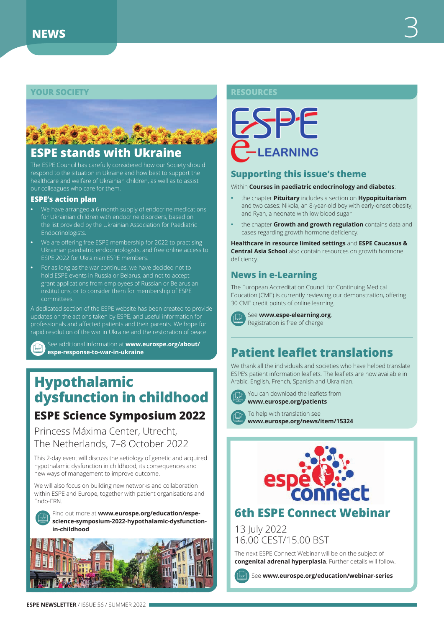## <span id="page-2-0"></span>**YOUR SOCIETY RESOURCES**



# **ESPE stands with Ukraine**

The ESPE Council has carefully considered how our Society should respond to the situation in Ukraine and how best to support the healthcare and welfare of Ukrainian children, as well as to assist our colleagues who care for them.

#### **ESPE's action plan**

- **•** We have arranged a 6-month supply of endocrine medications for Ukrainian children with endocrine disorders, based on the list provided by the Ukrainian Association for Paediatric Endocrinologists.
- **•** We are offering free ESPE membership for 2022 to practising Ukrainian paediatric endocrinologists, and free online access to ESPE 2022 for Ukrainian ESPE members.
- **•** For as long as the war continues, we have decided not to hold ESPE events in Russia or Belarus, and not to accept grant applications from employees of Russian or Belarusian institutions, or to consider them for membership of ESPE committees.

A dedicated section of the ESPE website has been created to provide updates on the actions taken by ESPE, and useful information for professionals and affected patients and their parents. We hope for rapid resolution of the war in Ukraine and the restoration of peace.

See additional information at **[www.eurospe.org/about/](http://www.eurospe.org/about/espe-response-to-war-in-ukraine) [espe-response-to-war-in-ukraine](http://www.eurospe.org/about/espe-response-to-war-in-ukraine)**

# **Hypothalamic dysfunction in childhood ESPE Science Symposium 2022**

Princess Máxima Center, Utrecht, The Netherlands, 7–8 October 2022

This 2-day event will discuss the aetiology of genetic and acquired hypothalamic dysfunction in childhood, its consequences and new ways of management to improve outcome.

We will also focus on building new networks and collaboration within ESPE and Europe, together with patient organisations and Endo-ERN.



Find out more at **[www.eurospe.org/education/espe](http://www.eurospe.org/education/espe-science-symposium-2022-hypothalamic-dysfunction-in-childhood)[science-symposium-2022-hypothalamic-dysfunction](http://www.eurospe.org/education/espe-science-symposium-2022-hypothalamic-dysfunction-in-childhood)[in-childhood](http://www.eurospe.org/education/espe-science-symposium-2022-hypothalamic-dysfunction-in-childhood)**





## **Supporting this issue's theme**

Within **Courses in paediatric endocrinology and diabetes**:

- **•** the chapter **Pituitary** includes a section on **Hypopituitarism** and two cases: Nikola, an 8-year-old boy with early-onset obesity, and Ryan, a neonate with low blood sugar
- **•** the chapter **Growth and growth regulation** contains data and cases regarding growth hormone deficiency.

**Healthcare in resource limited settings** and **ESPE Caucasus & Central Asia School** also contain resources on growth hormone deficiency.

# **News in e-Learning**

The European Accreditation Council for Continuing Medical Education (CME) is currently reviewing our demonstration, offering 30 CME credit points of online learning.



See **[www.espe-elearning.org](http://www.espe-elearning.org)**. Registration is free of charge

# **Patient leaflet translations**

We thank all the individuals and societies who have helped translate ESPE's patient information leaflets. The leaflets are now available in Arabic, English, French, Spanish and Ukrainian.



You can download the leaflets from **[www.eurospe.org/patients](http://www.eurospe.org/patients)**

To help with translation see **[www.eurospe.org/news/item/15324](http://www.eurospe.org/news/item/15324)**



# **6th ESPE Connect Webinar**

13 July 2022 16.00 CEST/15.00 BST

The next ESPE Connect Webinar will be on the subject of **congenital adrenal hyperplasia**. Further details will follow.

See **[www.eurospe.org/education/webinar-series](http://www.eurospe.org/education/webinar-series)**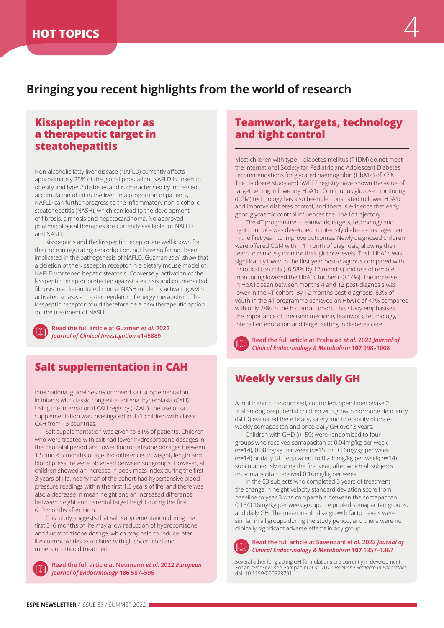# <span id="page-3-0"></span>**Bringing you recent highlights from the world of research**

# **Kisspeptin receptor as a therapeutic target in steatohepatitis**

Non-alcoholic fatty liver disease (NAFLD) currently affects approximately 25% of the global population. NAFLD is linked to obesity and type 2 diabetes and is characterised by increased accumulation of fat in the liver. In a proportion of patients, NAFLD can further progress to the inflammatory non-alcoholic steatohepatitis (NASH), which can lead to the development of fibrosis, cirrhosis and hepatocarcinoma. No approved pharmacological therapies are currently available for NAFLD and NASH.

Kisspeptins and the kisspeptin receptor are well known for their role in regulating reproduction, but have so far not been implicated in the pathogenesis of NAFLD. Guzman *et al.* show that a deletion of the kisspeptin receptor in a dietary mouse model of NAFLD worsened hepatic steatosis. Conversely, activation of the kisspeptin receptor protected against steatosis and counteracted fibrosis in a diet-induced mouse NASH model by activating AMPactivated kinase, a master regulator of energy metabolism. The kisspeptin receptor could therefore be a new therapeutic option for the treatment of NASH.

**Read the full article at Guzman** *et al.* **2022**  *Journal of Clinical Investigation* **e145889**

# **Salt supplementation in CAH**

International guidelines recommend salt supplementation in infants with classic congenital adrenal hyperplasia (CAH). Using the international CAH registry (i-CAH), the use of salt supplementation was investigated in 331 children with classic CAH from 13 countries.

Salt supplementation was given to 61% of patients. Children who were treated with salt had lower hydrocortisone dosages in the neonatal period and lower fludrocortisone dosages between 1.5 and 4.5 months of age. No differences in weight, length and blood pressure were observed between subgroups. However, all children showed an increase in body mass index during the first 3 years of life, nearly half of the cohort had hypertensive blood pressure readings within the first 1.5 years of life, and there was also a decrease in mean height and an increased difference between height and parental target height during the first 6−9 months after birth.

This study suggests that salt supplementation during the first 3–6 months of life may allow reduction of hydrocortisone and fludrocortisone dosage, which may help to reduce later life co-morbidities associated with glucocorticoid and mineralocorticoid treatment.



**Read the full article at Neumann** *et al.* **2022** *European Journal of Endocrinology* **186 587–596**

## **Teamwork, targets, technology and tight control**

Most children with type 1 diabetes mellitus (T1DM) do not meet the International Society for Pediatric and Adolescent Diabetes recommendations for glycated haemoglobin (HbA1c) of <7%. The Hvidoere study and SWEET registry have shown the value of target setting in lowering HbA1c. Continuous glucose monitoring (CGM) technology has also been demonstrated to lower HbA1c and improve diabetes control, and there is evidence that early good glycaemic control influences the HbA1c trajectory.

The 4T programme – teamwork, targets, technology and tight control – was developed to intensify diabetes management in the first year, to improve outcomes. Newly diagnosed children were offered CGM within 1 month of diagnosis, allowing their team to remotely monitor their glucose levels. Their HbA1c was significantly lower in the first year post-diagnosis compared with historical controls (–0.58% by 12 months) and use of remote monitoring lowered the HbA1c further (–0.14%). The increase in HbA1c seen between months 4 and 12 post-diagnosis was lower in the 4T cohort. By 12 months post-diagnosis, 53% of youth in the 4T programme achieved an HbA1c of <7% compared with only 28% in the historical cohort. This study emphasises the importance of precision medicine, teamwork, technology, intensified education and target setting in diabetes care.

**Read the full article at Prahalad** *et al.* **2022** *Journal of Clinical Endocrinology & Metabolism* **107 998–1008**

# **Weekly versus daily GH**

A multicentric, randomised, controlled, open-label phase 2 trial among prepubertal children with growth hormone deficiency (GHD) evaluated the efficacy, safety and tolerability of onceweekly somapacitan and once-daily GH over 3 years.

Children with GHD (*n*=59) were randomised to four groups who received somapacitan at 0.04mg/kg per week (*n*=14), 0.08mg/kg per week (*n*=15) or 0.16mg/kg per week (*n*=14) or daily GH (equivalent to 0.238mg/kg per week; *n*=14) subcutaneously during the first year, after which all subjects on somapacitan received 0.16mg/kg per week.

In the 53 subjects who completed 3 years of treatment, the change in height velocity standard deviation score from baseline to year 3 was comparable between the somapacitan 0.16/0.16mg/kg per week group, the pooled somapacitan groups, and daily GH. The mean insulin-like growth factor levels were similar in all groups during the study period, and there were no clinically significant adverse effects in any group.



#### **Read the full article at Sävendahl** *et al.* **2022** *Journal of Clinical Endocrinology & Metabolism* **107 1357–1367**

Several other long-acting GH formulations are currently in development. For an overview, see Pampanini *et al.* 2022 *Hormone Research in Paediatrics* doi: 10.1159/000523791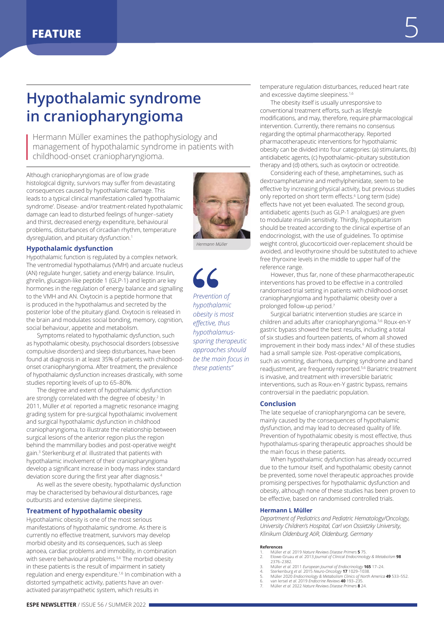# <span id="page-4-0"></span>**Hypothalamic syndrome in craniopharyngioma**

Hermann Müller examines the pathophysiology and management of hypothalamic syndrome in patients with childhood-onset craniopharyngioma.

Although craniopharyngiomas are of low grade histological dignity, survivors may suffer from devastating consequences caused by hypothalamic damage. This leads to a typical clinical manifestation called 'hypothalamic syndrome'. Disease- and/or treatment-related hypothalamic damage can lead to disturbed feelings of hunger–satiety and thirst, decreased energy expenditure, behavioural problems, disturbances of circadian rhythm, temperature dysregulation, and pituitary dysfunction.<sup>1</sup>

#### **Hypothalamic dysfunction**

Hypothalamic function is regulated by a complex network. The ventromedial hypothalamus (VMH) and arcuate nucleus (AN) regulate hunger, satiety and energy balance. Insulin, ghrelin, glucagon-like peptide 1 (GLP-1) and leptin are key hormones in the regulation of energy balance and signalling to the VMH and AN. Oxytocin is a peptide hormone that is produced in the hypothalamus and secreted by the posterior lobe of the pituitary gland. Oxytocin is released in the brain and modulates social bonding, memory, cognition, social behaviour, appetite and metabolism.

Symptoms related to hypothalamic dysfunction, such as hypothalamic obesity, psychosocial disorders (obsessive compulsive disorders) and sleep disturbances, have been found at diagnosis in at least 35% of patients with childhoodonset craniopharyngioma. After treatment, the prevalence of hypothalamic dysfunction increases drastically, with some studies reporting levels of up to 65–80%.

The degree and extent of hypothalamic dysfunction are strongly correlated with the degree of obesity.<sup>2</sup> In 2011, Müller *et al.* reported a magnetic resonance imaging grading system for pre-surgical hypothalamic involvement and surgical hypothalamic dysfunction in childhood craniopharyngioma, to illustrate the relationship between surgical lesions of the anterior region plus the region behind the mammillary bodies and post-operative weight gain.3 Sterkenburg *et al.* illustrated that patients with hypothalamic involvement of their craniopharyngioma develop a significant increase in body mass index standard deviation score during the first year after diagnosis.<sup>4</sup>

As well as the severe obesity, hypothalamic dysfunction may be characterised by behavioural disturbances, rage outbursts and extensive daytime sleepiness.

#### **Treatment of hypothalamic obesity**

Hypothalamic obesity is one of the most serious manifestations of hypothalamic syndrome. As there is currently no effective treatment, survivors may develop morbid obesity and its consequences, such as sleep apnoea, cardiac problems and immobility, in combination with severe behavioural problems.<sup>5,6</sup> The morbid obesity in these patients is the result of impairment in satiety regulation and energy expenditure.<sup>1,6</sup> In combination with a distorted sympathetic activity, patients have an overactivated parasympathetic system, which results in

*Prevention of hypothalamic obesity is most* 

*effective, thus hypothalamussparing therapeutic approaches should be the main focus in these patients"*

temperature regulation disturbances, reduced heart rate and excessive daytime sleepiness.<sup>1,6</sup>

The obesity itself is usually unresponsive to conventional treatment efforts, such as lifestyle modifications, and may, therefore, require pharmacological intervention. Currently, there remains no consensus regarding the optimal pharmacotherapy. Reported pharmacotherapeutic interventions for hypothalamic obesity can be divided into four categories: (a) stimulants, (b) antidiabetic agents, (c) hypothalamic–pituitary substitution therapy and (d) others, such as oxytocin or octreotide.

Considering each of these, amphetamines, such as dextroamphetamine and methylphenidate, seem to be effective by increasing physical activity, but previous studies only reported on short term effects.<sup>6</sup> Long term (side) effects have not yet been evaluated. The second group, antidiabetic agents (such as GLP-1 analogues) are given to modulate insulin sensitivity. Thirdly, hypopituitarism should be treated according to the clinical expertise of an endocrinologist, with the use of guidelines. To optimise weight control, glucocorticoid over-replacement should be avoided, and levothyroxine should be substituted to achieve free thyroxine levels in the middle to upper half of the reference range.

However, thus far, none of these pharmacotherapeutic interventions has proved to be effective in a controlled randomised trial setting in patients with childhood-onset craniopharyngioma and hypothalamic obesity over a prolonged follow-up period.7

Surgical bariatric intervention studies are scarce in children and adults after craniopharyngioma.5,6 Roux-en-Y gastric bypass showed the best results, including a total of six studies and fourteen patients, of whom all showed improvement in their body mass index.6 All of these studies had a small sample size. Post-operative complications, such as vomiting, diarrhoea, dumping syndrome and band readjustment, are frequently reported.5,6 Bariatric treatment is invasive, and treatment with irreversible bariatric interventions, such as Roux-en-Y gastric bypass, remains controversial in the paediatric population.

#### **Conclusion**

The late sequelae of craniopharyngioma can be severe, mainly caused by the consequences of hypothalamic dysfunction, and may lead to decreased quality of life. Prevention of hypothalamic obesity is most effective, thus hypothalamus-sparing therapeutic approaches should be the main focus in these patients.

When hypothalamic dysfunction has already occurred due to the tumour itself, and hypothalamic obesity cannot be prevented, some novel therapeutic approaches provide promising perspectives for hypothalamic dysfunction and obesity, although none of these studies has been proven to be effective, based on randomised controlled trials.

#### **Hermann L Müller**

*Department of Pediatrics and Pediatric Hematology/Oncology, University Children's Hospital, Carl von Ossietzky University, Klinikum Oldenburg AöR, Oldenburg, Germany*

#### **References**

- 1. Müller *et al.* 2019 *Nature Reviews Disease Primers* **5** 75. 2. Elowe-Gruau *et al.* 2013 *Journal of Clinical Endocrinology & Metabolism* **98** 2376–2382.
- 
- 
- 3. Müller et al. 2011 European Journal of Endocrinology **165** 17–24.<br>4. Sterkenburg et al. 2015 Neuro-Oncology **17 1**029–1038.<br>5. Müller 2020 Endocrinology & Metabolism Clinics of North America **49** 533–552.<br>6. van Iersel
- 
- 7. Müller *et al.* 2022 *Nature Reviews Disease Primers* **8** 24.

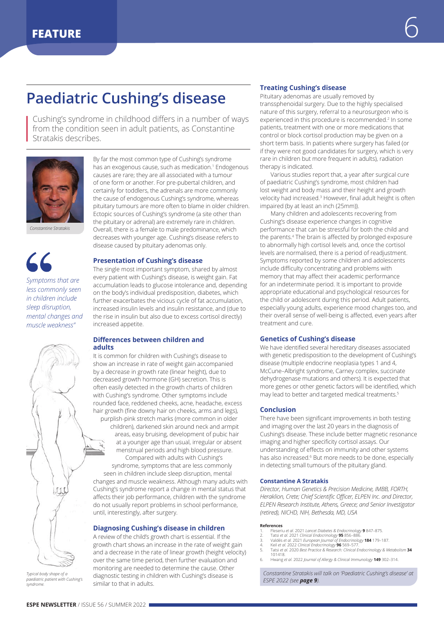# <span id="page-5-0"></span>**Paediatric Cushing's disease**

Cushing's syndrome in childhood differs in a number of ways from the condition seen in adult patients, as Constantine Stratakis describes.



*Constantine Stratakis*

*Symptoms that are less commonly seen in children include sleep disruption, mental changes and muscle weakness"*

By far the most common type of Cushing's syndrome has an exogenous cause, such as medication.<sup>1</sup> Endogenous causes are rare; they are all associated with a tumour of one form or another. For pre-pubertal children, and certainly for toddlers, the adrenals are more commonly the cause of endogenous Cushing's syndrome, whereas pituitary tumours are more often to blame in older children. Ectopic sources of Cushing's syndrome (a site other than the pituitary or adrenal) are extremely rare in children. Overall, there is a female to male predominance, which decreases with younger age. Cushing's disease refers to disease caused by pituitary adenomas only.

#### **Presentation of Cushing's disease**

The single most important symptom, shared by almost every patient with Cushing's disease, is weight gain. Fat accumulation leads to glucose intolerance and, depending on the body's individual predisposition, diabetes, which further exacerbates the vicious cycle of fat accumulation, increased insulin levels and insulin resistance, and (due to the rise in insulin but also due to excess cortisol directly) increased appetite.

#### **Differences between children and adults**

It is common for children with Cushing's disease to show an increase in rate of weight gain accompanied by a decrease in growth rate (linear height), due to decreased growth hormone (GH) secretion. This is often easily detected in the growth charts of children with Cushing's syndrome. Other symptoms include rounded face, reddened cheeks, acne, headache, excess hair growth (fine downy hair on cheeks, arms and legs), purplish-pink stretch marks (more common in older children), darkened skin around neck and armpit areas, easy bruising, development of pubic hair

at a younger age than usual, irregular or absent menstrual periods and high blood pressure. Compared with adults with Cushing's syndrome, symptoms that are less commonly

seen in children include sleep disruption, mental changes and muscle weakness. Although many adults with Cushing's syndrome report a change in mental status that affects their job performance, children with the syndrome do not usually report problems in school performance, until, interestingly, after surgery.

#### **Diagnosing Cushing's disease in children**

A review of the child's growth chart is essential. If the growth chart shows an increase in the rate of weight gain and a decrease in the rate of linear growth (height velocity) over the same time period, then further evaluation and monitoring are needed to determine the cause. Other diagnostic testing in children with Cushing's disease is similar to that in adults.

#### **Treating Cushing's disease**

Pituitary adenomas are usually removed by transsphenoidal surgery. Due to the highly specialised nature of this surgery, referral to a neurosurgeon who is experienced in this procedure is recommended.<sup>2</sup> In some patients, treatment with one or more medications that control or block cortisol production may be given on a short term basis. In patients where surgery has failed (or if they were not good candidates for surgery, which is very rare in children but more frequent in adults), radiation therapy is indicated.

Various studies report that, a year after surgical cure of paediatric Cushing's syndrome, most children had lost weight and body mass and their height and growth velocity had increased.<sup>3</sup> However, final adult height is often impaired (by at least an inch (25mm)).

Many children and adolescents recovering from Cushing's disease experience changes in cognitive performance that can be stressful for both the child and the parents.4 The brain is affected by prolonged exposure to abnormally high cortisol levels and, once the cortisol levels are normalised, there is a period of readjustment. Symptoms reported by some children and adolescents include difficulty concentrating and problems with memory that may affect their academic performance for an indeterminate period. It is important to provide appropriate educational and psychological resources for the child or adolescent during this period. Adult patients, especially young adults, experience mood changes too, and their overall sense of well-being is affected, even years after treatment and cure.

#### **Genetics of Cushing's disease**

We have identified several hereditary diseases associated with genetic predisposition to the development of Cushing's disease (multiple endocrine neoplasia types 1 and 4, McCune–Albright syndrome, Carney complex, succinate dehydrogenase mutations and others). It is expected that more genes or other genetic factors will be identified, which may lead to better and targeted medical treatments.<sup>5</sup>

#### **Conclusion**

There have been significant improvements in both testing and imaging over the last 20 years in the diagnosis of Cushing's disease. These include better magnetic resonance imaging and higher specificity cortisol assays. Our understanding of effects on immunity and other systems has also increased.<sup>6</sup> But more needs to be done, especially in detecting small tumours of the pituitary gland.

#### **Constantine A Stratakis**

*Director, Human Genetics & Precision Medicine, IMBB, FORTH, Heraklion, Crete; Chief Scientific Officer, ELPEN Inc. and Director, ELPEN Research Institute, Athens, Greece; and Senior Investigator (retired), NICHD, NIH, Bethesda, MD, USA*

#### **References**

- 
- 1. Fleseriu et al. 2021 *Lancet Diabetes & Endocrinology* **9** 847–875.<br>2. Tatsi *et al. 2*021 *Clinical Endocrinology 95 856–886.*<br>3. Valdés et al. 2021 *European Journal of Endocrinology* **184** 179–18
- 
- 4. Keil *et al.* 2022 *Clinical Endocrinology* **96** 569–577. 5. Tatsi *et al.* 2020 *Best Practice & Research: Clinical Endocrinology & Metabolism* **34** 101418.
	- 6. Hwang *et al.* 2022 *Journal of Allergy & Clinical Immunology* **149** 302–314.

*Constantine Stratakis will talk on 'Paediatric Cushing's disease' at ESPE 2022 (see [page 9](#page-8-0)).*

*Typical body shape of a paediatric patient with Cushing's syndrome.*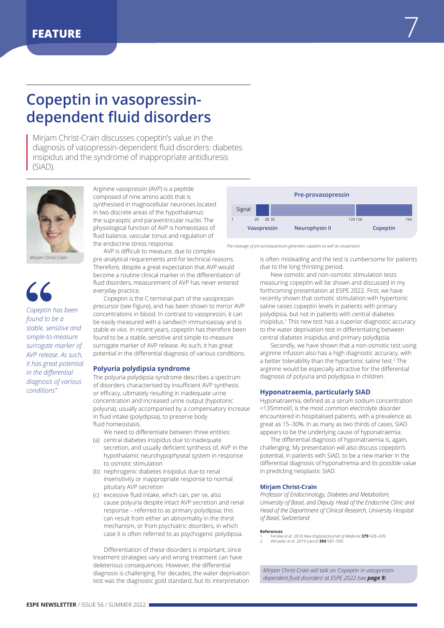# <span id="page-6-0"></span>**Copeptin in vasopressindependent fluid disorders**

Mirjam Christ-Crain discusses copeptin's value in the diagnosis of vasopressin-dependent fluid disorders: diabetes insipidus and the syndrome of inappropriate antidiuresis (SIAD).



*Mirjam Christ-Crain* 

*Copeptin has been found to be a stable, sensitive and simple-to-measure surrogate marker of AVP release. As such, it has great potential in the differential diagnosis of various conditions"*

Arginine vasopressin (AVP) is a peptide composed of nine amino acids that is synthesised in magnocellular neurones located in two discrete areas of the hypothalamus: the supraoptic and paraventricular nuclei. The physiological function of AVP is homeostasis of fluid balance, vascular tonus and regulation of the endocrine stress response.

AVP is difficult to measure, due to complex pre-analytical requirements and for technical reasons. Therefore, despite a great expectation that AVP would become a routine clinical marker in the differentiation of fluid disorders, measurement of AVP has never entered everyday practice.

Copeptin is the C-terminal part of the vasopressin precursor (see Figure), and has been shown to mirror AVP concentrations in blood. In contrast to vasopressin, it can be easily measured with a sandwich immunoassay and is stable *ex vivo*. In recent years, copeptin has therefore been found to be a stable, sensitive and simple-to-measure surrogate marker of AVP release. As such, it has great potential in the differential diagnosis of various conditions.

#### **Polyuria polydipsia syndrome**

The polyuria polydipsia syndrome describes a spectrum of disorders characterised by insufficient AVP synthesis or efficacy, ultimately resulting in inadequate urine concentration and increased urine output (hypotonic polyuria), usually accompanied by a compensatory increase in fluid intake (polydipsia), to preserve body fluid homeostasis.

- We need to differentiate between three entities: (a) central diabetes insipidus due to inadequate
- secretion, and usually deficient synthesis of, AVP in the hypothalamic neurohypophyseal system in response to osmotic stimulation
- (b) nephrogenic diabetes insipidus due to renal insensitivity or inappropriate response to normal pituitary AVP secretion
- (c) excessive fluid intake, which can, per se, also cause polyuria despite intact AVP secretion and renal response – referred to as primary polydipsia; this can result from either an abnormality in the thirst mechanism, or from psychiatric disorders, in which case it is often referred to as psychogenic polydipsia.

Differentiation of these disorders is important, since treatment strategies vary and wrong treatment can have deleterious consequences. However, the differential diagnosis is challenging. For decades, the water deprivation test was the diagnostic gold standard, but its interpretation



*The cleavage of pre-provasopressin generates copeptin as well as vasopressin.*

is often misleading and the test is cumbersome for patients due to the long thirsting period.

New osmotic and non-osmotic stimulation tests measuring copeptin will be shown and discussed in my forthcoming presentation at ESPE 2022. First, we have recently shown that osmotic stimulation with hypertonic saline raises copeptin levels in patients with primary polydipsia, but not in patients with central diabetes insipidus.1 This new test has a superior diagnostic accuracy to the water deprivation test in differentiating between central diabetes insipidus and primary polydipsia.

Secondly, we have shown that a non-osmotic test using arginine infusion also has a high diagnostic accuracy, with a better tolerability than the hypertonic saline test.2 The arginine would be especially attractive for the differential diagnosis of polyuria and polydipsia in children.

#### **Hyponatraemia, particularly SIAD**

Hyponatraemia, defined as a serum sodium concentration <135mmol/l, is the most common electrolyte disorder encountered in hospitalised patients, with a prevalence as great as 15–30%. In as many as two thirds of cases, SIAD appears to be the underlying cause of hyponatraemia.

The differential diagnosis of hyponatraemia is, again, challenging. My presentation will also discuss copeptin's potential, in patients with SIAD, to be a new marker in the differential diagnosis of hyponatremia and its possible value in predicting neoplastic SIAD.

#### **Mirjam Christ-Crain**

*Professor of Endocrinology, Diabetes and Metabolism, University of Basel, and Deputy Head of the Endocrine Clinic and Head of the Department of Clinical Research, University Hospital of Basel, Switzerland*

#### **References**

1. Fenske *et al.* 2018 *New England Journal of Medicine* **379** 428–439. 2. Winzeler *et al.* 2019 *Lancet* **394** 587–595.

*Mirjam Christ-Crain will talk on 'Copeptin in vasopressindependent fluid disorders' at ESPE 2022 (see [page 9](#page-8-0)).*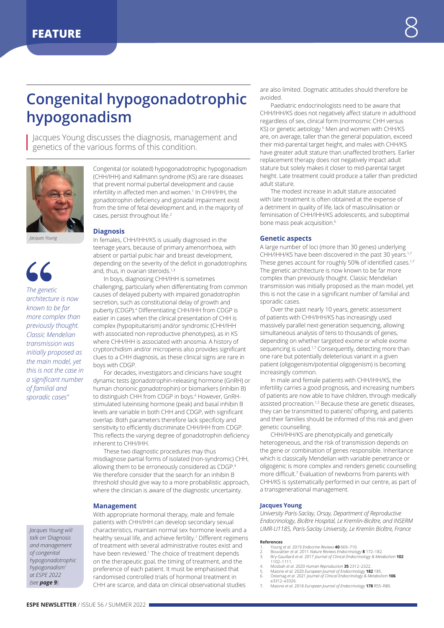# <span id="page-7-0"></span>**Congenital hypogonadotrophic hypogonadism**

Jacques Young discusses the diagnosis, management and genetics of the various forms of this condition.



*Jacques Young*

*The genetic architecture is now known to be far more complex than previously thought. Classic Mendelian transmission was initially proposed as the main model, yet this is not the case in a significant number of familial and sporadic cases"*

*Jacques Young will talk on 'Diagnosis and management of congenital hypogonadotrophic hypogonadism' at ESPE 2022 (see [page 9](#page-8-0)).*

Congenital (or isolated) hypogonadotrophic hypogonadism (CHH/IHH) and Kallmann syndrome (KS) are rare diseases that prevent normal pubertal development and cause infertility in affected men and women.<sup>1</sup> In CHH/IHH, the gonadotrophin deficiency and gonadal impairment exist from the time of fetal development and, in the majority of cases, persist throughout life.<sup>2</sup>

#### **Diagnosis**

In females, CHH/IHH/KS is usually diagnosed in the teenage years, because of primary amenorrhoea, with absent or partial pubic hair and breast development, depending on the severity of the deficit in gonadotrophins and, thus, in ovarian steroids.<sup>1,3</sup>

In boys, diagnosing CHH/IHH is sometimes challenging, particularly when differentiating from common causes of delayed puberty with impaired gonadotrophin secretion, such as constitutional delay of growth and puberty (CDGP).<sup>4</sup> Differentiating CHH/IHH from CDGP is easier in cases when the clinical presentation of CHH is complex (hypopituitarism) and/or syndromic (CHH/IHH with associated non-reproductive phenotypes), as in KS where CHH/IHH is associated with anosmia. A history of cryptorchidism and/or micropenis also provides significant clues to a CHH diagnosis, as these clinical signs are rare in boys with CDGP.

For decades, investigators and clinicians have sought dynamic tests (gonadotrophin-releasing hormone (GnRH) or human chorionic gonadotrophin) or biomarkers (inhibin B) to distinguish CHH from CDGP in boys.<sup>4</sup> However, GnRHstimulated luteinising hormone (peak) and basal inhibin B levels are variable in both CHH and CDGP, with significant overlap. Both parameters therefore lack specificity and sensitivity to efficiently discriminate CHH/IHH from CDGP. This reflects the varying degree of gonadotrophin deficiency inherent to CHH/IHH.

These two diagnostic procedures may thus misdiagnose partial forms of isolated (non-syndromic) CHH, allowing them to be erroneously considered as CDGP.4 We therefore consider that the search for an inhibin B threshold should give way to a more probabilistic approach, where the clinician is aware of the diagnostic uncertainty.

#### **Management**

With appropriate hormonal therapy, male and female patients with CHH/IHH can develop secondary sexual characteristics, maintain normal sex hormone levels and a healthy sexual life, and achieve fertility.<sup>1</sup> Different regimens of treatment with several administrative routes exist and have been reviewed.<sup>1</sup> The choice of treatment depends on the therapeutic goal, the timing of treatment, and the preference of each patient. It must be emphasised that randomised controlled trials of hormonal treatment in CHH are scarce, and data on clinical observational studies

are also limited. Dogmatic attitudes should therefore be avoided.

Paediatric endocrinologists need to be aware that CHH/IHH/KS does not negatively affect stature in adulthood regardless of sex, clinical form (normosmic CHH versus KS) or genetic aetiology.<sup>5</sup> Men and women with CHH/KS are, on average, taller than the general population, exceed their mid-parental target height, and males with CHH/KS have greater adult stature than unaffected brothers. Earlier replacement therapy does not negatively impact adult stature but solely makes it closer to mid-parental target height. Late treatment could produce a taller than predicted adult stature.

The modest increase in adult stature associated with late treatment is often obtained at the expense of a detriment in quality of life, lack of masculinisation or feminisation of CHH/IHH/KS adolescents, and suboptimal bone mass peak acquisition.<sup>6</sup>

#### **Genetic aspects**

A large number of loci (more than 30 genes) underlying CHH/IHH/KS have been discovered in the past 30 years.1,7 These genes account for roughly 50% of identified cases.<sup>1,7</sup> The genetic architecture is now known to be far more complex than previously thought. Classic Mendelian transmission was initially proposed as the main model, yet this is not the case in a significant number of familial and sporadic cases.

Over the past nearly 10 years, genetic assessment of patients with CHH/IHH/KS has increasingly used massively parallel next-generation sequencing, allowing simultaneous analysis of tens to thousands of genes, depending on whether targeted exome or whole exome sequencing is used.<sup>1,7</sup> Consequently, detecting more than one rare but potentially deleterious variant in a given patient (oligogenism/potential oligogenism) is becoming increasingly common.

In male and female patients with CHH/IHH/KS, the infertility carries a good prognosis, and increasing numbers of patients are now able to have children, through medically assisted procreation.<sup>1,3</sup> Because these are genetic diseases, they can be transmitted to patients' offspring, and patients and their families should be informed of this risk and given genetic counselling.

CHH/IHH/KS are phenotypically and genetically heterogeneous, and the risk of transmission depends on the gene or combination of genes responsible. Inheritance which is classically Mendelian with variable penetrance or oligogenic is more complex and renders genetic counselling more difficult.<sup>7</sup> Evaluation of newborns from parents with CHH/KS is systematically performed in our centre, as part of a transgenerational management.

#### **Jacques Young**

*University Paris-Saclay, Orsay, Department of Reproductive Endocrinology, Bicêtre Hospital, Le Kremlin-Bicêtre, and INSERM UMR-U1185, Paris-Saclay University, Le Kremlin Bicêtre, France*

#### **References**

- 
- 1. Young *et al. 2019 Endocrine Reviews 40 669–710.*<br>2. Bouvattier *et al. 2011 Nature Reviews Endocrinology 8 172–182.<br>3. Bry-Gauillard et <i>al. 2017 Journal of Clinical Endocrinology & Metabolism* **102**<br>
- 
- 4. Mosbah et al. 2020 Human Reproduction **35** 2312–2322.<br>5. Maione et al. 2020 European Journal of Endocrinology **182** 185.<br>6. Ostertag et al. 2021 Journal of Clinical Endocrinology & Metabolism **106**
- e3312–e3326. 7. Maione *et al.* 2018 *European Journal of Endocrinology* **178** R55–R80.

**ESPE NEWSLETTER** / ISSUE 56 / SUMMER 2022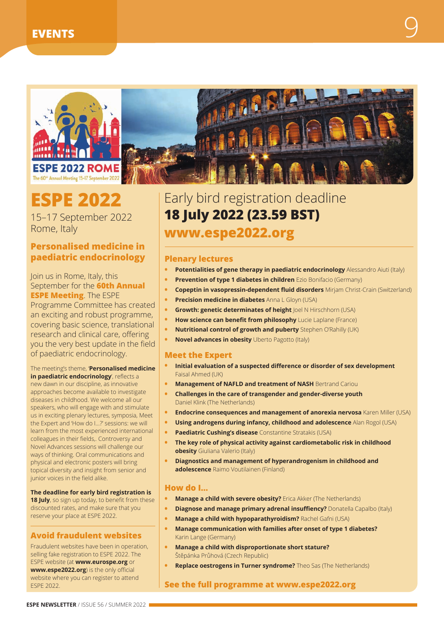<span id="page-8-0"></span>

# **ESPE 2022**

15–17 September 2022 Rome, Italy

# **Personalised medicine in paediatric endocrinology**

Join us in Rome, Italy, this September for the **60th Annual ESPE Meeting**. The ESPE Programme Committee has created an exciting and robust programme, covering basic science, translational research and clinical care, offering you the very best update in the field of paediatric endocrinology.

## The meeting's theme, '**Personalised medicine**

**in paediatric endocrinology**', reflects a new dawn in our discipline, as innovative approaches become available to investigate diseases in childhood. We welcome all our speakers, who will engage with and stimulate us in exciting plenary lectures, symposia, Meet the Expert and 'How do I…?' sessions: we will learn from the most experienced international colleagues in their fields,. Controversy and Novel Advances sessions will challenge our ways of thinking. Oral communications and physical and electronic posters will bring topical diversity and insight from senior and junior voices in the field alike.

**The deadline for early bird registration is 18 July**, so sign up today, to benefit from these discounted rates, and make sure that you reserve your place at ESPE 2022.

## **Avoid fraudulent websites**

Fraudulent websites have been in operation, selling fake registration to ESPE 2022. The ESPE website (at **[www.eurospe.org](http://www.eurospe.org)** or **[www.espe2022.org](http://www.espe2022.org)**) is the only official website where you can register to attend ESPE 2022.



# Early bird registration deadline **18 July 2022 (23.59 BST) [www.espe2022.org](http://www.espe2022.org)**

## **Plenary lectures**

- **Potentialities of gene therapy in paediatric endocrinology** Alessandro Aiuti (Italy)
- **Prevention of type 1 diabetes in children** Ezio Bonifacio (Germany)
- **• Copeptin in vasopressin-dependent fluid disorders** Mirjam Christ-Crain (Switzerland)
- **Precision medicine in diabetes** Anna L Gloyn (USA)
- **Growth: genetic determinates of height** loel N Hirschhorn (USA)
- **• How science can benefit from philosophy** Lucie Laplane (France)
- **• Nutritional control of growth and puberty** Stephen O'Rahilly (UK)
- **• Novel advances in obesity** Uberto Pagotto (Italy)

### **Meet the Expert**

- **• Initial evaluation of a suspected difference or disorder of sex development** Faisal Ahmed (UK)
- **Management of NAFLD and treatment of NASH** Bertrand Cariou
- **• Challenges in the care of transgender and gender-diverse youth** Daniel Klink (The Netherlands)
- **• Endocrine consequences and management of anorexia nervosa** Karen Miller (USA)
- **• Using androgens during infancy, childhood and adolescence** Alan Rogol (USA)
- **• Paediatric Cushing's disease** Constantine Stratakis (USA)
- **• The key role of physical activity against cardiometabolic risk in childhood obesity** Giuliana Valerio (Italy)
- **• Diagnostics and management of hyperandrogenism in childhood and adolescence** Raimo Voutilainen (Finland)

## **How do I…**

- **• Manage a child with severe obesity?** Erica Akker (The Netherlands)
- **Diagnose and manage primary adrenal insuffiency?** Donatella Capalbo (Italy)
- **• Manage a child with hypoparathyroidism?** Rachel Gafni (USA)
- **• Manage communication with families after onset of type 1 diabetes?** Karin Lange (Germany)
- **• Manage a child with disproportionate short stature?**  Štěpánka Průhová (Czech Republic)
- **Replace oestrogens in Turner syndrome?** Theo Sas (The Netherlands)

## **See the full programme at [www.espe2022.org](http://www.espe2022.org)**